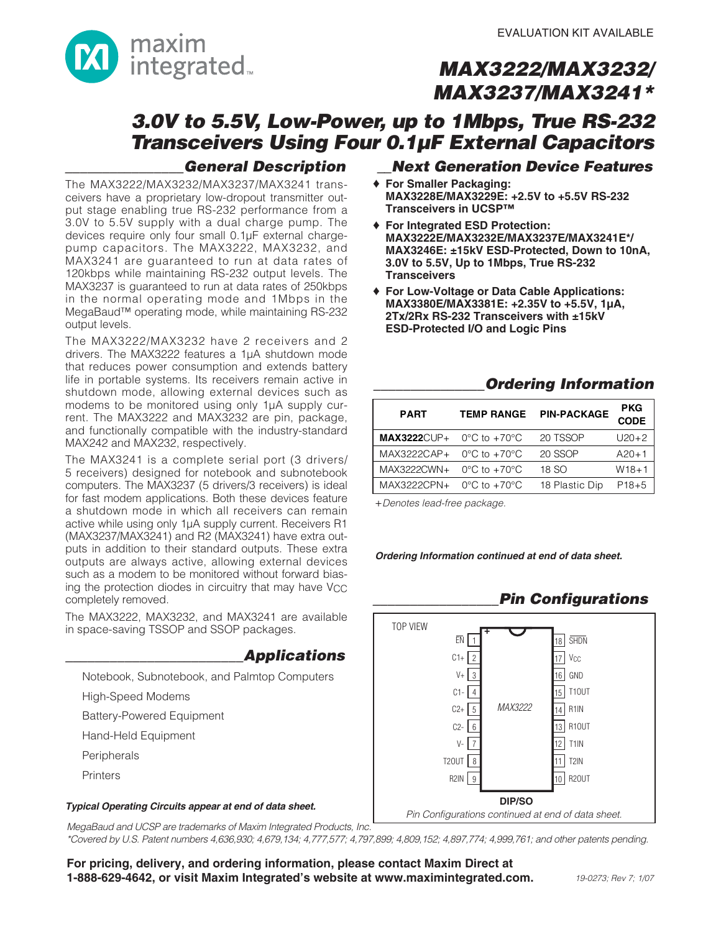

## **3.0V to 5.5V, Low-Power, up to 1Mbps, True RS-232 Transceivers Using Four 0.1µF External Capacitors**

### **\_\_\_\_\_\_\_\_\_\_\_\_\_\_\_\_General Description**

The MAX3222/MAX3232/MAX3237/MAX3241 transceivers have a proprietary low-dropout transmitter output stage enabling true RS-232 performance from a 3.0V to 5.5V supply with a dual charge pump. The devices require only four small 0.1µF external chargepump capacitors. The MAX3222, MAX3232, and MAX3241 are guaranteed to run at data rates of 120kbps while maintaining RS-232 output levels. The MAX3237 is guaranteed to run at data rates of 250kbps in the normal operating mode and 1Mbps in the MegaBaud™ operating mode, while maintaining RS-232 output levels.

The MAX3222/MAX3232 have 2 receivers and 2 drivers. The MAX3222 features a 1µA shutdown mode that reduces power consumption and extends battery life in portable systems. Its receivers remain active in shutdown mode, allowing external devices such as modems to be monitored using only 1µA supply current. The MAX3222 and MAX3232 are pin, package, and functionally compatible with the industry-standard MAX242 and MAX232, respectively.

The MAX3241 is a complete serial port (3 drivers/ 5 receivers) designed for notebook and subnotebook computers. The MAX3237 (5 drivers/3 receivers) is ideal for fast modem applications. Both these devices feature a shutdown mode in which all receivers can remain active while using only 1µA supply current. Receivers R1 (MAX3237/MAX3241) and R2 (MAX3241) have extra outputs in addition to their standard outputs. These extra outputs are always active, allowing external devices such as a modem to be monitored without forward biasing the protection diodes in circuitry that may have V<sub>CC</sub> completely removed.

The MAX3222, MAX3232, and MAX3241 are available in space-saving TSSOP and SSOP packages.

### **\_\_\_\_\_\_\_\_\_\_\_\_\_\_\_\_\_\_\_\_\_\_\_\_Applications**

Notebook, Subnotebook, and Palmtop Computers

High-Speed Modems

Battery-Powered Equipment

Hand-Held Equipment

Peripherals

**Printers** 

### **\_\_Next Generation Device Features**

- ♦ **For Smaller Packaging: MAX3228E/MAX3229E: +2.5V to +5.5V RS-232 Transceivers in UCSP™**
- ♦ **For Integrated ESD Protection: MAX3222E/MAX3232E/MAX3237E/MAX3241E\*/ MAX3246E: ±15kV ESD-Protected, Down to 10nA, 3.0V to 5.5V, Up to 1Mbps, True RS-232 Transceivers**
- ♦ **For Low-Voltage or Data Cable Applications: MAX3380E/MAX3381E: +2.35V to +5.5V, 1µA, 2Tx/2Rx RS-232 Transceivers with ±15kV ESD-Protected I/O and Logic Pins**

### **\_\_\_\_\_\_\_\_\_\_\_\_\_\_\_Ordering Information**

**\_\_\_\_\_\_\_\_\_\_\_\_\_\_\_\_\_Pin Configurations**

| <b>PART</b>                 | <b>TEMP RANGE</b>                | <b>PIN-PACKAGE</b> | <b>PKG</b><br><b>CODE</b> |
|-----------------------------|----------------------------------|--------------------|---------------------------|
| $MAX3222CUP + O°C$ to +70°C |                                  | 20 TSSOP           | $U20+2$                   |
| MAX3222CAP+                 | $0^{\circ}$ C to $+70^{\circ}$ C | 20 SSOP            | $A20+1$                   |
| MAX3222CWN+                 | $0^{\circ}$ C to $+70^{\circ}$ C | 18 SO              | $W18 + 1$                 |
| MAX3222CPN+                 | $0^{\circ}$ C to $+70^{\circ}$ C | 18 Plastic Dip     | $P18+5$                   |

+Denotes lead-free package.

**Ordering Information continued at end of data sheet.**



MegaBaud and UCSP are trademarks of Maxim Integrated Products, Inc.

\*Covered by U.S. Patent numbers 4,636,930; 4,679,134; 4,777,577; 4,797,899; 4,809,152; 4,897,774; 4,999,761; and other patents pending.

**For pricing, delivery, and ordering information, please contact Maxim Direct at 1-888-629-4642, or visit Maxim Integrated's website at www.maximintegrated.com.** 19-0273; Rev 7; 1/07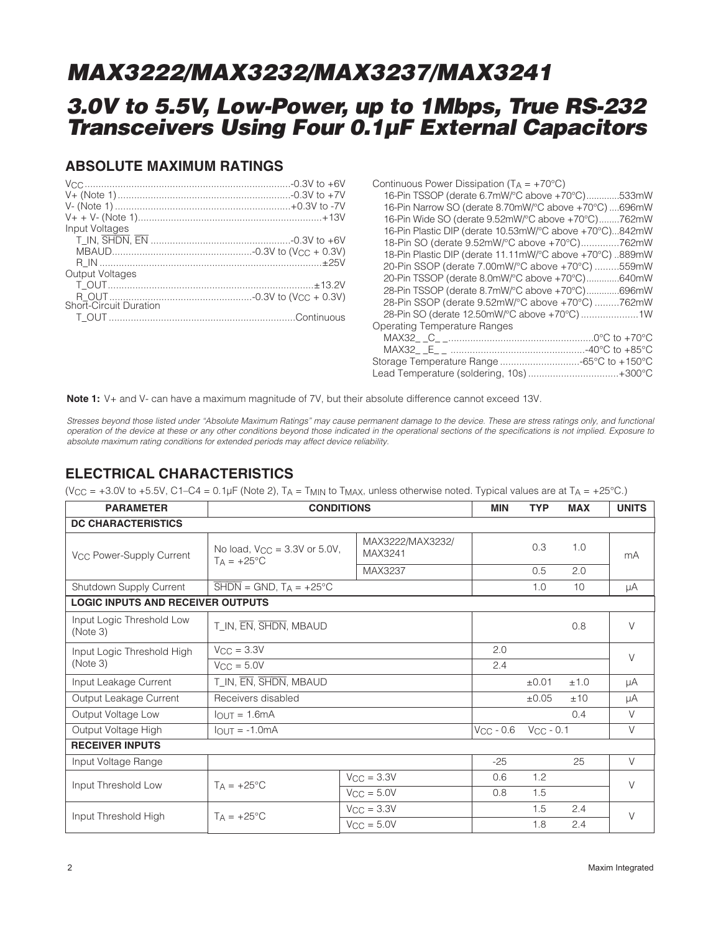## **3.0V to 5.5V, Low-Power, up to 1Mbps, True RS-232 Transceivers Using Four 0.1µF External Capacitors**

### **ABSOLUTE MAXIMUM RATINGS**

| Input Voltages         |  |
|------------------------|--|
|                        |  |
|                        |  |
|                        |  |
| <b>Output Voltages</b> |  |
|                        |  |
|                        |  |
| Short-Circuit Duration |  |
|                        |  |
|                        |  |

**Note 1:** V+ and V- can have a maximum magnitude of 7V, but their absolute difference cannot exceed 13V.

Stresses beyond those listed under "Absolute Maximum Ratings" may cause permanent damage to the device. These are stress ratings only, and functional operation of the device at these or any other conditions beyond those indicated in the operational sections of the specifications is not implied. Exposure to absolute maximum rating conditions for extended periods may affect device reliability.

### **ELECTRICAL CHARACTERISTICS**

(V<sub>CC</sub> = +3.0V to +5.5V, C1–C4 =  $0.1\mu$ F (Note 2), T<sub>A</sub> = T<sub>MIN</sub> to T<sub>MAX</sub>, unless otherwise noted. Typical values are at T<sub>A</sub> = +25°C.)

| <b>PARAMETER</b>                         | <b>CONDITIONS</b>                                                    | <b>MIN</b>                  | <b>TYP</b>     | <b>MAX</b>     | <b>UNITS</b> |        |
|------------------------------------------|----------------------------------------------------------------------|-----------------------------|----------------|----------------|--------------|--------|
| <b>DC CHARACTERISTICS</b>                |                                                                      |                             |                |                |              |        |
| V <sub>CC</sub> Power-Supply Current     | No load, $V_{CC} = 3.3V$ or 5.0V,<br>$T_A = +25$ °C                  | MAX3222/MAX3232/<br>MAX3241 |                | 0.3            | 1.0          | mA     |
|                                          |                                                                      | MAX3237                     |                | 0.5            | 2.0          |        |
| Shutdown Supply Current                  | $\overline{\text{SHDN}} = \text{GND}$ , $T_A = +25^{\circ} \text{C}$ |                             |                | 1.0            | 10           | μA     |
| <b>LOGIC INPUTS AND RECEIVER OUTPUTS</b> |                                                                      |                             |                |                |              |        |
| Input Logic Threshold Low<br>(Note 3)    | T_IN, EN, SHDN, MBAUD                                                |                             |                |                | 0.8          | $\vee$ |
| Input Logic Threshold High               | $V_{CC} = 3.3V$                                                      | 2.0                         |                |                | $\vee$       |        |
| (Note 3)                                 | $V_{\rm CC} = 5.0V$                                                  | 2.4                         |                |                |              |        |
| Input Leakage Current                    | T_IN, EN, SHDN, MBAUD                                                |                             |                | ±0.01          | ±1.0         | μA     |
| Output Leakage Current                   | Receivers disabled                                                   |                             |                | $\pm 0.05$     | ±10          | μA     |
| Output Voltage Low                       | $IOUT = 1.6mA$                                                       |                             |                |                | 0.4          | $\vee$ |
| Output Voltage High                      | $IOUT = -1.0mA$                                                      |                             | $V_{CC}$ - 0.6 | $V_{CC}$ - 0.1 |              | $\vee$ |
| <b>RECEIVER INPUTS</b>                   |                                                                      |                             |                |                |              |        |
| Input Voltage Range                      |                                                                      |                             | $-25$          |                | 25           | $\vee$ |
| Input Threshold Low                      | $TA = +25^{\circ}C$                                                  | $V_{\rm CC} = 3.3V$         | 0.6            | 1.2            |              | $\vee$ |
|                                          |                                                                      | $V_{CC} = 5.0V$             | 0.8            | 1.5            |              |        |
|                                          | $T_A = +25$ °C                                                       | $V_{\rm CC} = 3.3V$         |                | 1.5            | 2.4          | $\vee$ |
| Input Threshold High                     |                                                                      | $V_{CC} = 5.0V$             |                | 1.8            | 2.4          |        |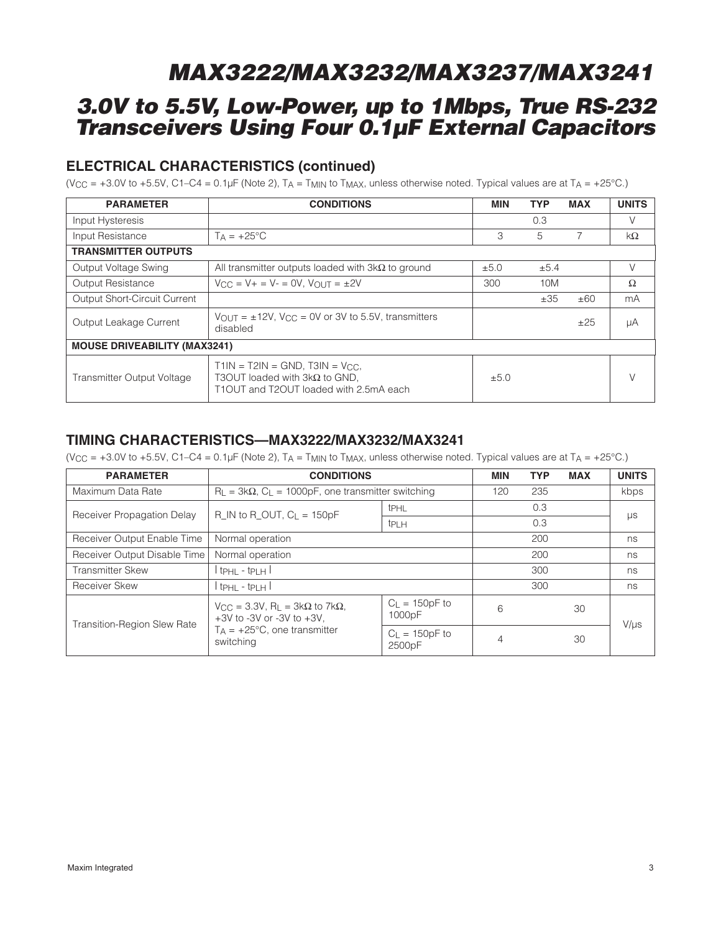## **3.0V to 5.5V, Low-Power, up to 1Mbps, True RS-232 Transceivers Using Four 0.1µF External Capacitors**

### **ELECTRICAL CHARACTERISTICS (continued)**

(V<sub>CC</sub> = +3.0V to +5.5V, C1–C4 =  $0.1\,\mu$ F (Note 2), T<sub>A</sub> = T<sub>MIN</sub> to T<sub>MAX</sub>, unless otherwise noted. Typical values are at T<sub>A</sub> = +25°C.)

| <b>PARAMETER</b>                    | <b>CONDITIONS</b>                                                                                                      | <b>MIN</b> | <b>TYP</b> | <b>MAX</b> | <b>UNITS</b> |
|-------------------------------------|------------------------------------------------------------------------------------------------------------------------|------------|------------|------------|--------------|
| Input Hysteresis                    |                                                                                                                        |            | 0.3        |            | $\vee$       |
| Input Resistance                    | $Ta = +25^{\circ}C$                                                                                                    | 3          | 5          | 7          | $k\Omega$    |
| <b>TRANSMITTER OUTPUTS</b>          |                                                                                                                        |            |            |            |              |
| Output Voltage Swing                | All transmitter outputs loaded with $3k\Omega$ to ground                                                               | ±5.0       | ±5.4       |            | $\vee$       |
| Output Resistance                   | $V_{CC} = V_{+} = V_{-} = 0V$ , $V_{OUT} = \pm 2V$                                                                     | 300        | 10M        |            | Ω            |
| <b>Output Short-Circuit Current</b> |                                                                                                                        |            | ±35        | ±60        | mA           |
| Output Leakage Current              | $V_{\text{OUT}} = \pm 12V$ , $V_{\text{CC}} = 0V$ or 3V to 5.5V, transmitters<br>disabled                              |            |            | ±25        | μA           |
| <b>MOUSE DRIVEABILITY (MAX3241)</b> |                                                                                                                        |            |            |            |              |
| Transmitter Output Voltage          | T1IN = T2IN = GND, T3IN = $V_{CC}$ ,<br>T3OUT loaded with $3k\Omega$ to GND,<br>T1OUT and T2OUT loaded with 2.5mA each | ±5.0       |            |            |              |

### **TIMING CHARACTERISTICS—MAX3222/MAX3232/MAX3241**

(V<sub>CC</sub> = +3.0V to +5.5V, C1–C4 =  $0.1\mu$ F (Note 2), T<sub>A</sub> = T<sub>MIN</sub> to T<sub>MAX</sub>, unless otherwise noted. Typical values are at T<sub>A</sub> = +25°C.)

| <b>PARAMETER</b>                   | <b>CONDITIONS</b>                                                                                    |                              | <b>MIN</b> | <b>TYP</b> | <b>MAX</b> | <b>UNITS</b> |  |
|------------------------------------|------------------------------------------------------------------------------------------------------|------------------------------|------------|------------|------------|--------------|--|
| Maximum Data Rate                  | $R_L = 3k\Omega$ , $C_L = 1000pF$ , one transmitter switching                                        |                              | 120        | 235        |            | kbps         |  |
| Receiver Propagation Delay         | $R$ <sub>I</sub> N to R <sub>I</sub> OUT, $C_L$ = 150pF                                              | t <sub>PHL</sub>             |            | 0.3        |            |              |  |
|                                    |                                                                                                      | <b>t</b> PLH                 |            | 0.3        |            | μs           |  |
| Receiver Output Enable Time        | Normal operation                                                                                     |                              | 200        |            | ns         |              |  |
| Receiver Output Disable Time       | Normal operation                                                                                     |                              | 200        |            | ns         |              |  |
| <b>Transmitter Skew</b>            | $tpHL - tpLH$                                                                                        |                              | 300        |            | ns         |              |  |
| Receiver Skew                      | $tpHL - tpLH$                                                                                        |                              |            | 300        |            | ns           |  |
| <b>Transition-Region Slew Rate</b> | $V_{\rm CC}$ = 3.3V, R <sub>L</sub> = 3k $\Omega$ to 7k $\Omega$ ,<br>$+3V$ to -3V or -3V to $+3V$ . | $C_L = 150pF$ to<br>1000pF   | 6          |            | 30         | $V/\mu s$    |  |
|                                    | $T_A$ = +25°C, one transmitter<br>switching                                                          | $C_{L}$ = 150pF to<br>2500pF | 4          |            | 30         |              |  |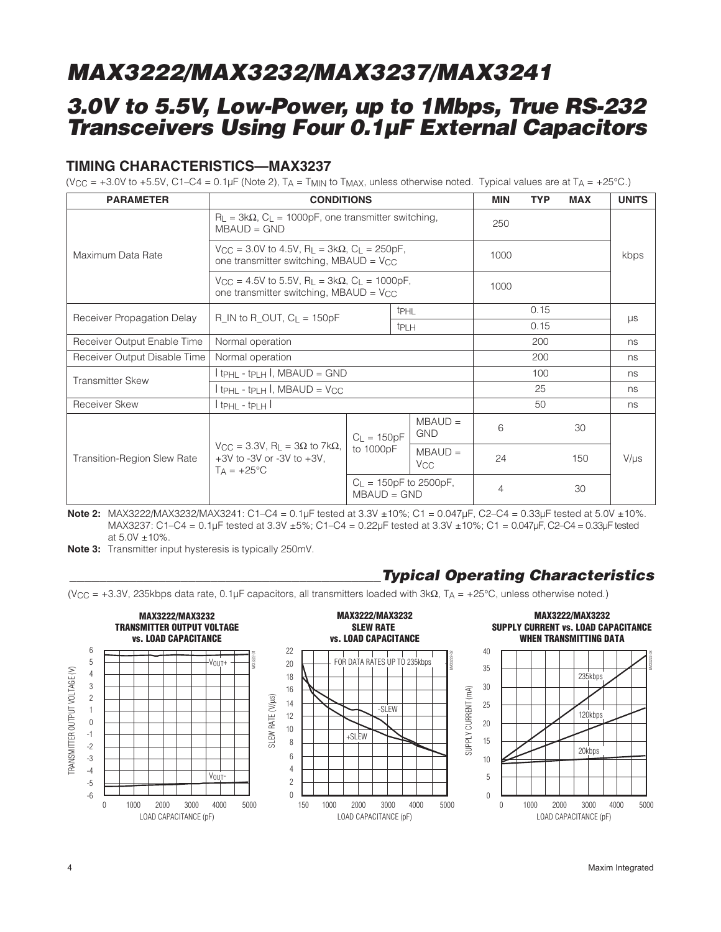## **3.0V to 5.5V, Low-Power, up to 1Mbps, True RS-232 Transceivers Using Four 0.1µF External Capacitors**

### **TIMING CHARACTERISTICS—MAX3237**

(V<sub>CC</sub> = +3.0V to +5.5V, C1–C4 =  $0.1\mu$ F (Note 2), T<sub>A</sub> = T<sub>MIN</sub> to T<sub>MAX</sub>, unless otherwise noted. Typical values are at T<sub>A</sub> = +25°C.)

| <b>PARAMETER</b>                   | <b>CONDITIONS</b>                                                                                                                     |               |                  |                                    | <b>MIN</b>     | <b>TYP</b> | <b>MAX</b> | <b>UNITS</b> |
|------------------------------------|---------------------------------------------------------------------------------------------------------------------------------------|---------------|------------------|------------------------------------|----------------|------------|------------|--------------|
|                                    | $R_{\text{L}}$ = 3k $\Omega$ , $C_{\text{L}}$ = 1000pF, one transmitter switching,<br>$MBAUD = GND$                                   |               |                  |                                    | 250            |            |            |              |
| Maximum Data Rate                  | $V_{\text{CC}} = 3.0V$ to 4.5V, R <sub>L</sub> = 3k $\Omega$ , C <sub>L</sub> = 250pF,<br>one transmitter switching, MBAUD = $V_{CC}$ |               |                  | 1000                               |                |            | kbps       |              |
|                                    | $V_{\rm CC} = 4.5V$ to 5.5V, R <sub>L</sub> = 3k $\Omega$ , C <sub>L</sub> = 1000pF,<br>one transmitter switching, MBAUD = Vcc        |               |                  |                                    | 1000           |            |            |              |
| Receiver Propagation Delay         | R IN to R OUT, $C_L = 150pF$                                                                                                          |               | t <sub>PHL</sub> |                                    |                | 0.15       |            |              |
|                                    |                                                                                                                                       |               | t <sub>PLH</sub> |                                    |                | 0.15       |            | $\mu s$      |
| Receiver Output Enable Time        | Normal operation                                                                                                                      |               |                  |                                    | 200            |            | ns         |              |
| Receiver Output Disable Time       | Normal operation                                                                                                                      |               |                  |                                    | 200            |            | ns         |              |
| <b>Transmitter Skew</b>            | $tpHL - tpLH$ , MBAUD = GND                                                                                                           |               |                  |                                    |                | 100        |            | ns           |
|                                    | $tpHL - tpLH$ , MBAUD = V <sub>CC</sub>                                                                                               |               |                  |                                    |                | 25         |            | ns           |
| Receiver Skew                      | l tphl - tplh l                                                                                                                       |               |                  |                                    |                | 50         |            | ns           |
| <b>Transition-Region Slew Rate</b> | $V_{\rm CC}$ = 3.3V, R <sub>L</sub> = 3 $\Omega$ to 7k $\Omega$ ,<br>$+3V$ to -3V or -3V to $+3V$ .<br>$T_A = +25$ °C                 | $C_L = 150pF$ |                  | $MBAUD =$<br><b>GND</b>            | 6              |            | 30         |              |
|                                    |                                                                                                                                       | to 1000pF     |                  | $MBAUD =$<br><b>V<sub>CC</sub></b> | 24             |            | 150        | $V/\mu s$    |
|                                    |                                                                                                                                       | $MBAUD = GND$ |                  | $C_L = 150pF$ to 2500pF,           | $\overline{4}$ |            | 30         |              |

**Note 2:** MAX3222/MAX3232/MAX3241: C1–C4 = 0.1µF tested at 3.3V ±10%; C1 = 0.047µF, C2–C4 = 0.33µF tested at 5.0V ±10%. MAX3237: C1–C4 = 0.1µF tested at 3.3V ±5%; C1–C4 = 0.22µF tested at 3.3V ±10%; C1 = 0.047µF, C2–C4 = 0.33µF tested at  $5.0V \pm 10\%$ .

**Note 3:** Transmitter input hysteresis is typically 250mV.

### **\_\_\_\_\_\_\_\_\_\_\_\_\_\_\_\_\_\_\_\_\_\_\_\_\_\_\_\_\_\_\_\_\_\_\_\_\_\_\_\_\_\_Typical Operating Characteristics**

(V<sub>CC</sub> = +3.3V, 235kbps data rate, 0.1µF capacitors, all transmitters loaded with  $3k\Omega$ , T<sub>A</sub> = +25°C, unless otherwise noted.)

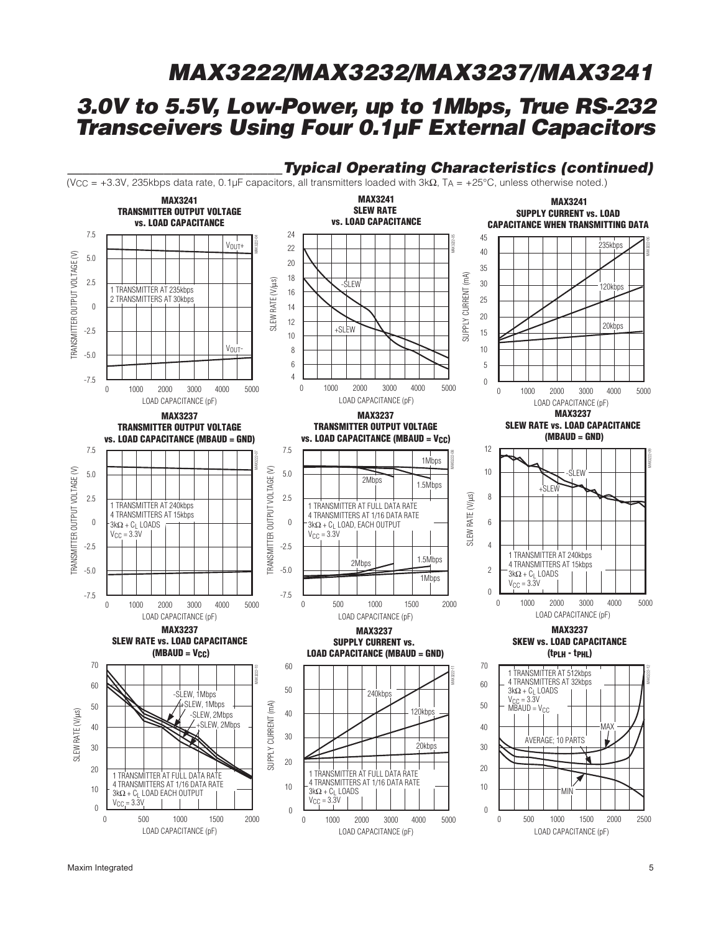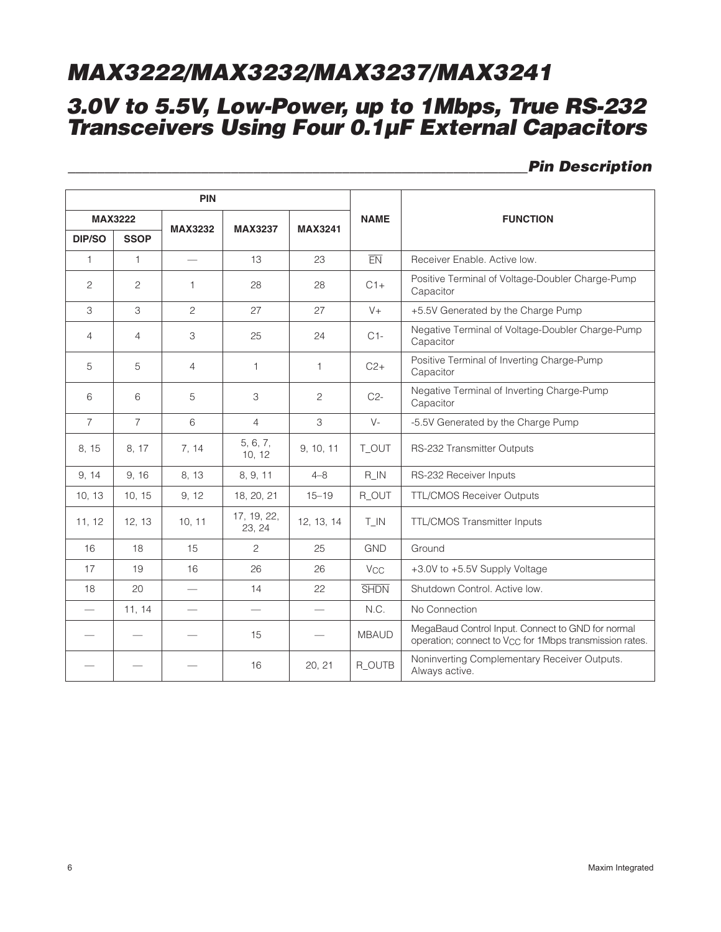## **3.0V to 5.5V, Low-Power, up to 1Mbps, True RS-232 Transceivers Using Four 0.1µF External Capacitors**

### **\_\_\_\_\_\_\_\_\_\_\_\_\_\_\_\_\_\_\_\_\_\_\_\_\_\_\_\_\_\_\_\_\_\_\_\_\_\_\_\_\_\_\_\_\_\_\_\_\_\_\_\_\_\_\_\_\_\_\_\_\_\_Pin Description**

|                | PIN            |                          |                       |                          |                       |                                                                                                                          |
|----------------|----------------|--------------------------|-----------------------|--------------------------|-----------------------|--------------------------------------------------------------------------------------------------------------------------|
|                | <b>MAX3222</b> | <b>MAX3232</b>           | <b>MAX3237</b>        | <b>MAX3241</b>           | <b>NAME</b>           | <b>FUNCTION</b>                                                                                                          |
| <b>DIP/SO</b>  | <b>SSOP</b>    |                          |                       |                          |                       |                                                                                                                          |
| $\mathbf{1}$   | $\mathbf{1}$   | $\overline{\phantom{0}}$ | 13                    | 23                       | EN                    | Receiver Enable, Active low.                                                                                             |
| $\overline{2}$ | 2              | $\mathbf{1}$             | 28                    | 28                       | $C1+$                 | Positive Terminal of Voltage-Doubler Charge-Pump<br>Capacitor                                                            |
| 3              | 3              | $\overline{c}$           | 27                    | 27                       | $V +$                 | +5.5V Generated by the Charge Pump                                                                                       |
| $\overline{4}$ | $\overline{4}$ | 3                        | 25                    | 24                       | $C1-$                 | Negative Terminal of Voltage-Doubler Charge-Pump<br>Capacitor                                                            |
| 5              | 5              | $\overline{4}$           | $\mathbf{1}$          | $\mathbf{1}$             | $C2+$                 | Positive Terminal of Inverting Charge-Pump<br>Capacitor                                                                  |
| 6              | 6              | 5                        | 3                     | 2                        | $C2-$                 | Negative Terminal of Inverting Charge-Pump<br>Capacitor                                                                  |
| $\overline{7}$ | $\overline{7}$ | 6                        | $\overline{4}$        | 3                        | $V -$                 | -5.5V Generated by the Charge Pump                                                                                       |
| 8, 15          | 8, 17          | 7, 14                    | 5, 6, 7,<br>10, 12    | 9, 10, 11                | T_OUT                 | RS-232 Transmitter Outputs                                                                                               |
| 9, 14          | 9, 16          | 8, 13                    | 8, 9, 11              | $4 - 8$                  | $R$ <sub>-IN</sub>    | RS-232 Receiver Inputs                                                                                                   |
| 10, 13         | 10, 15         | 9, 12                    | 18, 20, 21            | $15 - 19$                | R_OUT                 | <b>TTL/CMOS Receiver Outputs</b>                                                                                         |
| 11, 12         | 12, 13         | 10, 11                   | 17, 19, 22,<br>23, 24 | 12, 13, 14               | $T$ <sub>-IN</sub>    | TTL/CMOS Transmitter Inputs                                                                                              |
| 16             | 18             | 15                       | $\overline{c}$        | 25                       | <b>GND</b>            | Ground                                                                                                                   |
| 17             | 19             | 16                       | 26                    | 26                       | <b>V<sub>CC</sub></b> | +3.0V to +5.5V Supply Voltage                                                                                            |
| 18             | 20             | $\overline{\phantom{0}}$ | 14                    | 22                       | <b>SHDN</b>           | Shutdown Control. Active low.                                                                                            |
|                | 11, 14         | $\qquad \qquad$          | $\qquad \qquad$       | $\overline{\phantom{0}}$ | N.C.                  | No Connection                                                                                                            |
|                |                |                          | 15                    |                          | <b>MBAUD</b>          | MegaBaud Control Input. Connect to GND for normal<br>operation; connect to V <sub>CC</sub> for 1Mbps transmission rates. |
|                |                |                          | 16                    | 20, 21                   | R_OUTB                | Noninverting Complementary Receiver Outputs.<br>Always active.                                                           |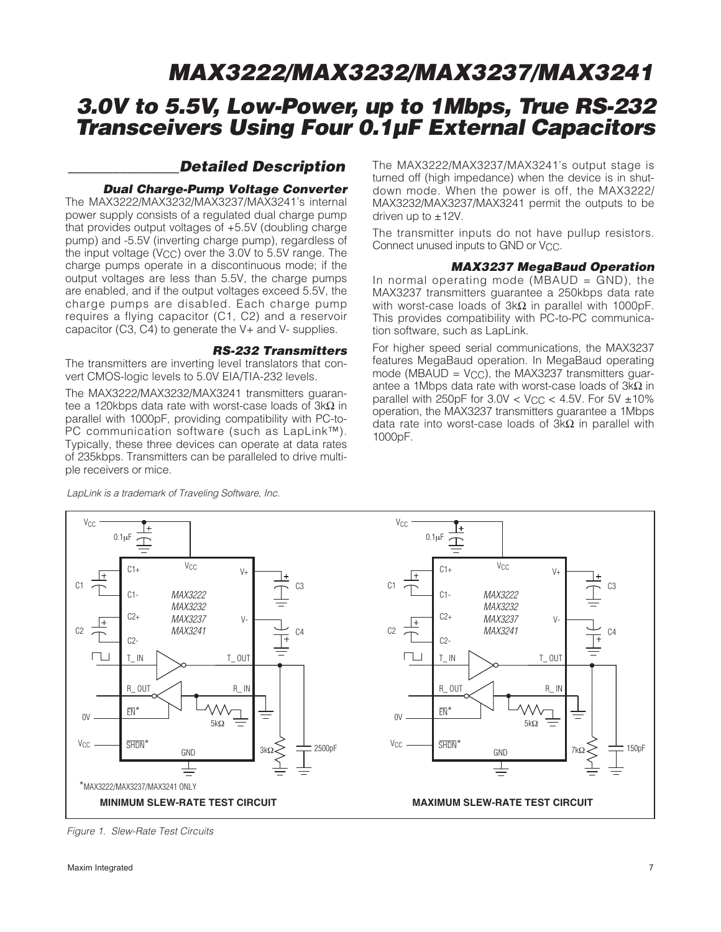### **\_\_\_\_\_\_\_\_\_\_\_\_\_\_\_Detailed Description**

#### **Dual Charge-Pump Voltage Converter**

The MAX3222/MAX3232/MAX3237/MAX3241's internal power supply consists of a regulated dual charge pump that provides output voltages of +5.5V (doubling charge pump) and -5.5V (inverting charge pump), regardless of the input voltage (V<sub>CC</sub>) over the  $3.0V$  to  $5.5V$  range. The charge pumps operate in a discontinuous mode; if the output voltages are less than 5.5V, the charge pumps are enabled, and if the output voltages exceed 5.5V, the charge pumps are disabled. Each charge pump requires a flying capacitor (C1, C2) and a reservoir capacitor (C3, C4) to generate the V+ and V- supplies.

#### **RS-232 Transmitters**

The transmitters are inverting level translators that convert CMOS-logic levels to 5.0V EIA/TIA-232 levels.

The MAX3222/MAX3232/MAX3241 transmitters guarantee a 120kbps data rate with worst-case loads of 3kΩ in parallel with 1000pF, providing compatibility with PC-to-PC communication software (such as LapLink™). Typically, these three devices can operate at data rates of 235kbps. Transmitters can be paralleled to drive multiple receivers or mice.

LapLink is a trademark of Traveling Software, Inc.

The MAX3222/MAX3237/MAX3241's output stage is turned off (high impedance) when the device is in shutdown mode. When the power is off, the MAX3222/ MAX3232/MAX3237/MAX3241 permit the outputs to be driven up to  $\pm$ 12V.

The transmitter inputs do not have pullup resistors. Connect unused inputs to GND or V<sub>CC</sub>.

#### **MAX3237 MegaBaud Operation**

In normal operating mode (MBAUD  $=$  GND), the MAX3237 transmitters guarantee a 250kbps data rate with worst-case loads of 3kΩ in parallel with 1000pF. This provides compatibility with PC-to-PC communication software, such as LapLink.

For higher speed serial communications, the MAX3237 features MegaBaud operation. In MegaBaud operating mode (MBAUD =  $V_{CC}$ ), the MAX3237 transmitters guarantee a 1Mbps data rate with worst-case loads of 3kΩ in parallel with 250pF for  $3.0V < V_{CC} < 4.5V$ . For  $5V \pm 10\%$ operation, the MAX3237 transmitters guarantee a 1Mbps data rate into worst-case loads of  $3kΩ$  in parallel with 1000pF.



Figure 1. Slew-Rate Test Circuits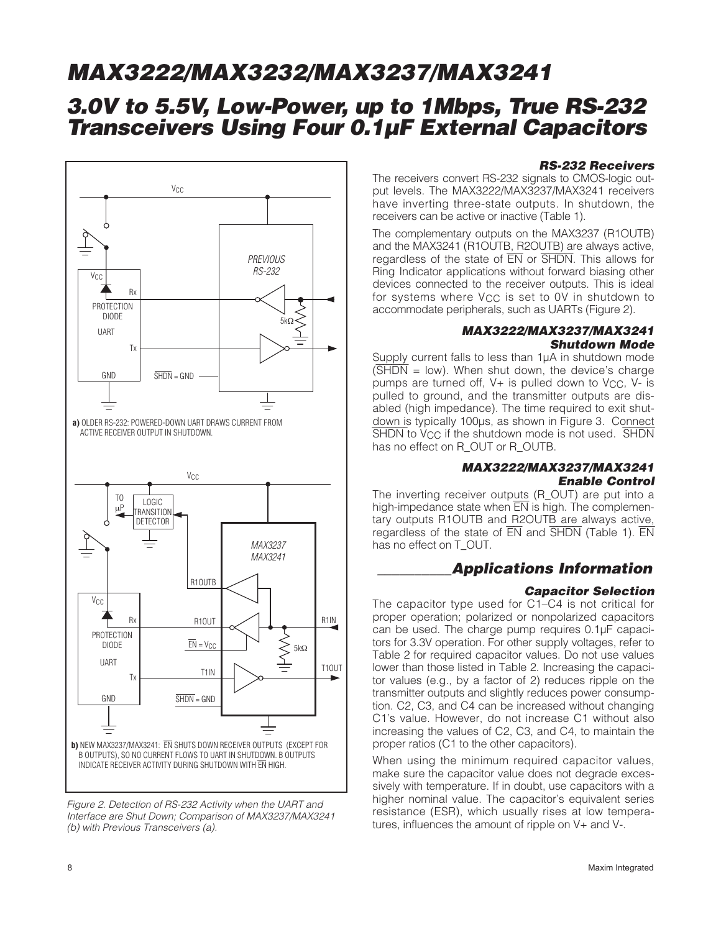## **3.0V to 5.5V, Low-Power, up to 1Mbps, True RS-232 Transceivers Using Four 0.1µF External Capacitors**



Figure 2. Detection of RS-232 Activity when the UART and Interface are Shut Down; Comparison of MAX3237/MAX3241 (b) with Previous Transceivers (a).

#### **RS-232 Receivers**

The receivers convert RS-232 signals to CMOS-logic output levels. The MAX3222/MAX3237/MAX3241 receivers have inverting three-state outputs. In shutdown, the receivers can be active or inactive (Table 1).

The complementary outputs on the MAX3237 (R1OUTB) and the MAX3241 (R1OUTB, R2OUTB) are always active, regardless of the state of EN or SHDN. This allows for Ring Indicator applications without forward biasing other devices connected to the receiver outputs. This is ideal for systems where  $V_{CC}$  is set to OV in shutdown to accommodate peripherals, such as UARTs (Figure 2).

#### **MAX3222/MAX3237/MAX3241 Shutdown Mode**

Supply current falls to less than 1µA in shutdown mode  $(\overline{\text{SHDN}})$  = low). When shut down, the device's charge pumps are turned off,  $V+$  is pulled down to  $V<sub>CC</sub>$ ,  $V-$  is pulled to ground, and the transmitter outputs are disabled (high impedance). The time required to exit shutdown is typically 100µs, as shown in Figure 3. Connect SHDN to V<sub>CC</sub> if the shutdown mode is not used. SHDN has no effect on R\_OUT or R\_OUTB.

#### **MAX3222/MAX3237/MAX3241 Enable Control**

The inverting receiver outputs (R\_OUT) are put into a high-impedance state when  $\overline{EN}$  is high. The complementary outputs R1OUTB and R2OUTB are always active, regardless of the state of  $\overline{EN}$  and  $\overline{SHDN}$  (Table 1).  $\overline{EN}$ has no effect on T\_OUT.

### **\_\_\_\_\_\_\_\_\_\_Applications Information**

#### **Capacitor Selection**

The capacitor type used for C1–C4 is not critical for proper operation; polarized or nonpolarized capacitors can be used. The charge pump requires 0.1µF capacitors for 3.3V operation. For other supply voltages, refer to Table 2 for required capacitor values. Do not use values lower than those listed in Table 2. Increasing the capacitor values (e.g., by a factor of 2) reduces ripple on the transmitter outputs and slightly reduces power consumption. C2, C3, and C4 can be increased without changing C1's value. However, do not increase C1 without also increasing the values of C2, C3, and C4, to maintain the proper ratios (C1 to the other capacitors).

When using the minimum required capacitor values, make sure the capacitor value does not degrade excessively with temperature. If in doubt, use capacitors with a higher nominal value. The capacitor's equivalent series resistance (ESR), which usually rises at low temperatures, influences the amount of ripple on V+ and V-.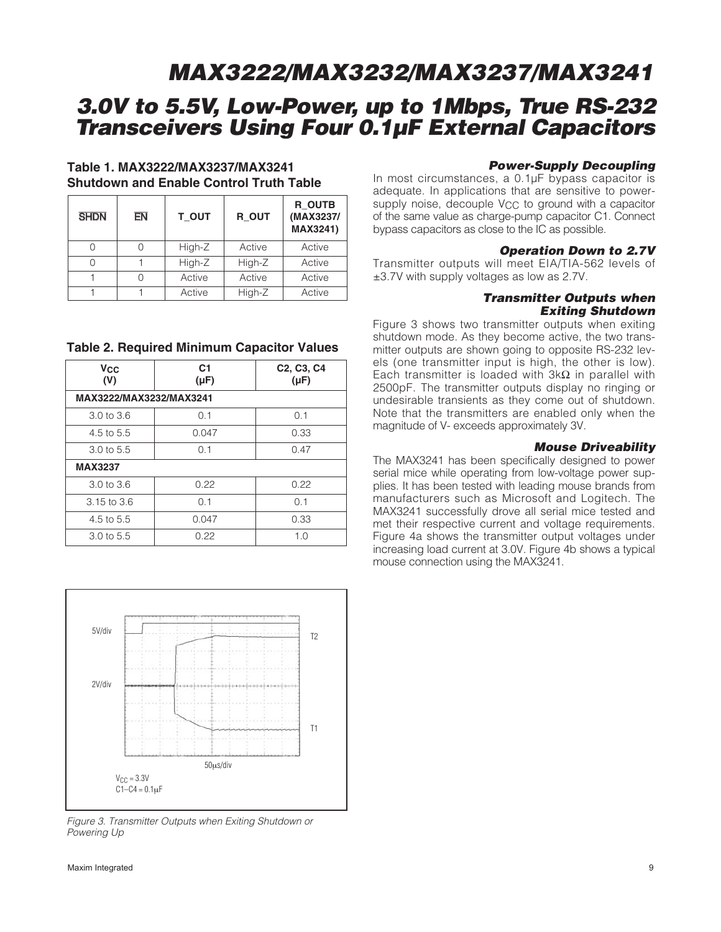## **3.0V to 5.5V, Low-Power, up to 1Mbps, True RS-232 Transceivers Using Four 0.1µF External Capacitors**

### **Table 1. MAX3222/MAX3237/MAX3241 Shutdown and Enable Control Truth Table**

| <b>SHDN</b> | EN | T OUT  | R OUT  | R OUTB<br>(MAX3237/<br>MAX3241) |
|-------------|----|--------|--------|---------------------------------|
|             |    | High-Z | Active | Active                          |
|             |    | High-Z | High-Z | Active                          |
|             |    | Active | Active | Active                          |
|             |    | Active | High-Z | Active                          |

#### **Table 2. Required Minimum Capacitor Values**

| <b>V<sub>CC</sub></b><br>(V) | C <sub>1</sub><br>$(\mu F)$ | C <sub>2</sub> , C <sub>3</sub> , C <sub>4</sub><br>$(\mu F)$ |
|------------------------------|-----------------------------|---------------------------------------------------------------|
| MAX3222/MAX3232/MAX3241      |                             |                                                               |
| $3.0 \text{ to } 3.6$        | 0.1                         | 0.1                                                           |
| 4.5 to 5.5                   | 0.047                       | 0.33                                                          |
| $3.0 \text{ to } 5.5$        | 0.1                         | 0.47                                                          |
| <b>MAX3237</b>               |                             |                                                               |
| $3.0 \text{ to } 3.6$        | 0.22                        | 0.22                                                          |
| $3.15$ to $3.6$              | 0.1                         | 0.1                                                           |
| 4.5 to 5.5                   | 0.047                       | 0.33                                                          |
| 3.0 to 5.5                   | 0.22                        | 1.0                                                           |



Figure 3. Transmitter Outputs when Exiting Shutdown or Powering Up

#### Maxim Integrated 9

#### **Power-Supply Decoupling**

In most circumstances, a 0.1µF bypass capacitor is adequate. In applications that are sensitive to powersupply noise, decouple V<sub>CC</sub> to ground with a capacitor of the same value as charge-pump capacitor C1. Connect bypass capacitors as close to the IC as possible.

#### **Operation Down to 2.7V**

Transmitter outputs will meet EIA/TIA-562 levels of ±3.7V with supply voltages as low as 2.7V.

#### **Transmitter Outputs when Exiting Shutdown**

Figure 3 shows two transmitter outputs when exiting shutdown mode. As they become active, the two transmitter outputs are shown going to opposite RS-232 levels (one transmitter input is high, the other is low). Each transmitter is loaded with  $3k\Omega$  in parallel with 2500pF. The transmitter outputs display no ringing or undesirable transients as they come out of shutdown. Note that the transmitters are enabled only when the magnitude of V- exceeds approximately 3V.

#### **Mouse Driveability**

The MAX3241 has been specifically designed to power serial mice while operating from low-voltage power supplies. It has been tested with leading mouse brands from manufacturers such as Microsoft and Logitech. The MAX3241 successfully drove all serial mice tested and met their respective current and voltage requirements. Figure 4a shows the transmitter output voltages under increasing load current at 3.0V. Figure 4b shows a typical mouse connection using the MAX3241.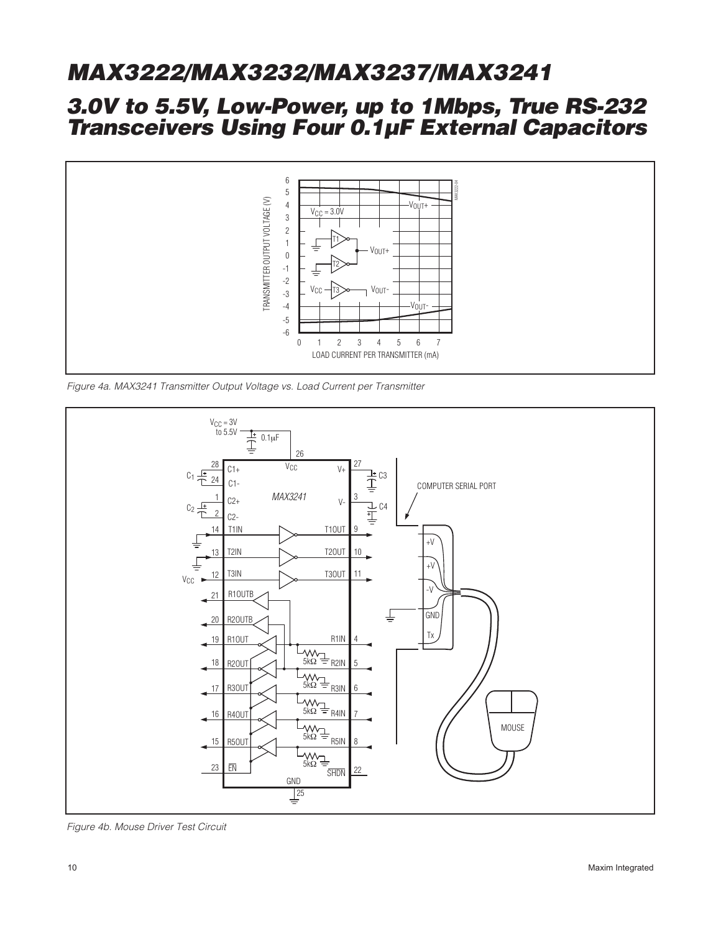## **3.0V to 5.5V, Low-Power, up to 1Mbps, True RS-232 Transceivers Using Four 0.1µF External Capacitors**



Figure 4a. MAX3241 Transmitter Output Voltage vs. Load Current per Transmitter



Figure 4b. Mouse Driver Test Circuit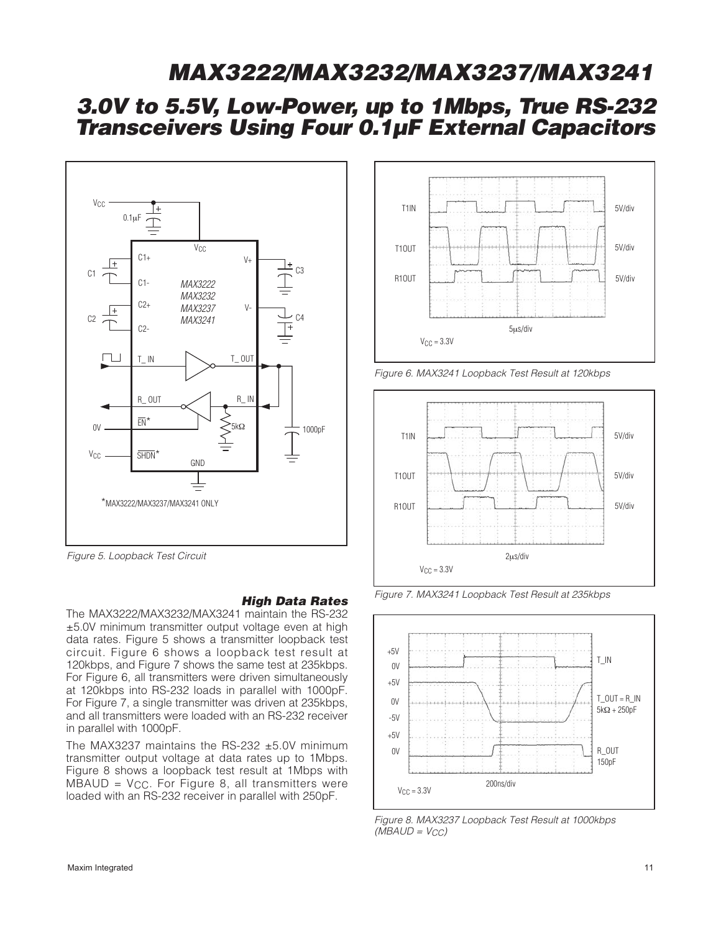## **3.0V to 5.5V, Low-Power, up to 1Mbps, True RS-232 Transceivers Using Four 0.1µF External Capacitors**



Figure 5. Loopback Test Circuit

#### **High Data Rates**

The MAX3222/MAX3232/MAX3241 maintain the RS-232 ±5.0V minimum transmitter output voltage even at high data rates. Figure 5 shows a transmitter loopback test circuit. Figure 6 shows a loopback test result at 120kbps, and Figure 7 shows the same test at 235kbps. For Figure 6, all transmitters were driven simultaneously at 120kbps into RS-232 loads in parallel with 1000pF. For Figure 7, a single transmitter was driven at 235kbps, and all transmitters were loaded with an RS-232 receiver in parallel with 1000pF.

The MAX3237 maintains the RS-232 ±5.0V minimum transmitter output voltage at data rates up to 1Mbps. Figure 8 shows a loopback test result at 1Mbps with  $MBAUD = V_{CC}$ . For Figure 8, all transmitters were loaded with an RS-232 receiver in parallel with 250pF.







Figure 7. MAX3241 Loopback Test Result at 235kbps



Figure 8. MAX3237 Loopback Test Result at 1000kbps  $(MBAUD = V_{CC})$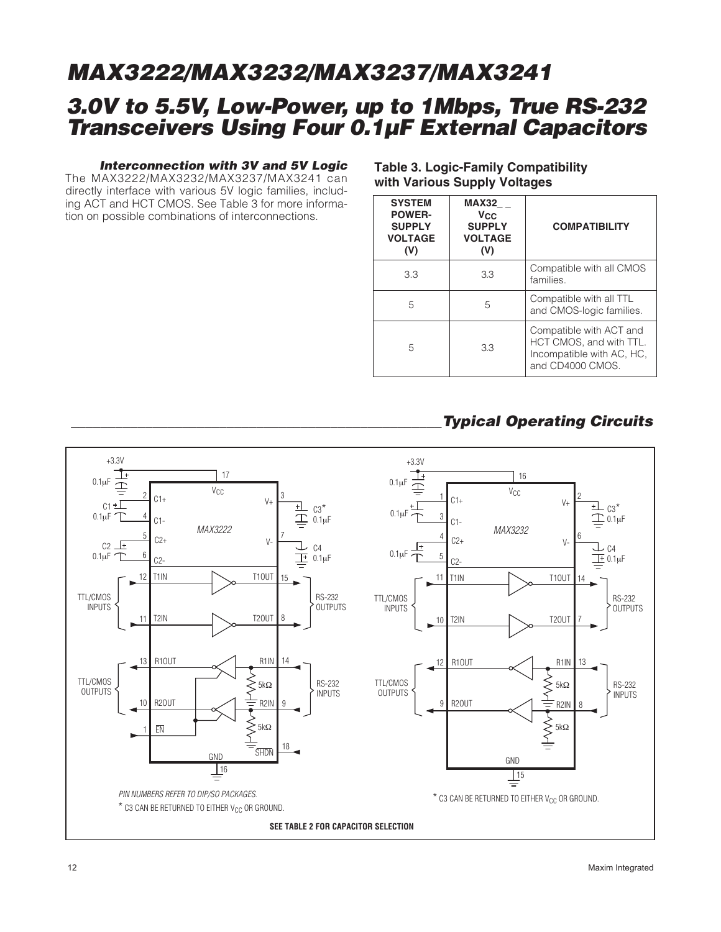## **3.0V to 5.5V, Low-Power, up to 1Mbps, True RS-232 Transceivers Using Four 0.1µF External Capacitors**

#### **Interconnection with 3V and 5V Logic**

The MAX3222/MAX3232/MAX3237/MAX3241 can directly interface with various 5V logic families, including ACT and HCT CMOS. See Table 3 for more information on possible combinations of interconnections.

### **Table 3. Logic-Family Compatibility with Various Supply Voltages**

| <b>SYSTEM</b><br><b>POWER-</b><br><b>SUPPLY</b><br><b>VOLTAGE</b><br>(V) | <b>MAX32</b><br><b>V<sub>CC</sub></b><br><b>SUPPLY</b><br><b>VOLTAGE</b><br>(V) | <b>COMPATIBILITY</b>                                                                                |
|--------------------------------------------------------------------------|---------------------------------------------------------------------------------|-----------------------------------------------------------------------------------------------------|
| 3.3                                                                      | 3.3                                                                             | Compatible with all CMOS<br>families.                                                               |
| 5                                                                        | 5                                                                               | Compatible with all TTL<br>and CMOS-logic families.                                                 |
| 5                                                                        | 3.3                                                                             | Compatible with ACT and<br>HCT CMOS, and with TTL.<br>Incompatible with AC, HC,<br>and CD4000 CMOS. |

### **\_\_\_\_\_\_\_\_\_\_\_\_\_\_\_\_\_\_\_\_\_\_\_\_\_\_\_\_\_\_\_\_\_\_\_\_\_\_\_\_\_\_\_\_\_\_\_\_\_\_Typical Operating Circuits**

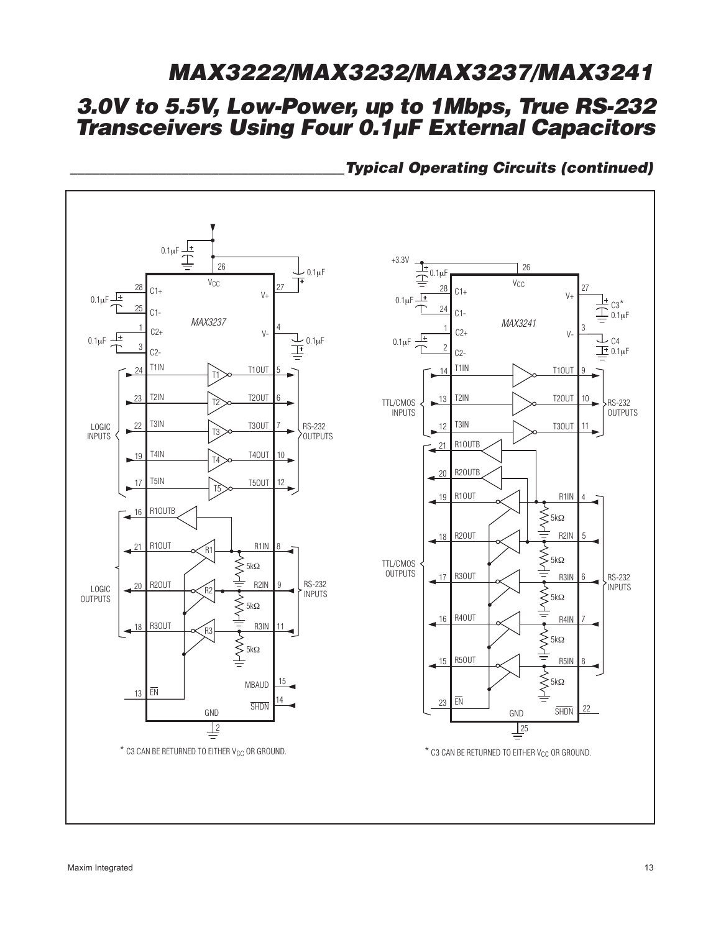# **3.0V to 5.5V, Low-Power, up to 1Mbps, True RS-232 MAX3222/MAX3232/MAX3237/MAX3241**

**Transceivers Using Four 0.1µF External Capacitors**



**\_\_\_\_\_\_\_\_\_\_\_\_\_\_\_\_\_\_\_\_\_\_\_\_\_\_\_\_\_\_\_\_\_\_\_\_\_Typical Operating Circuits (continued)**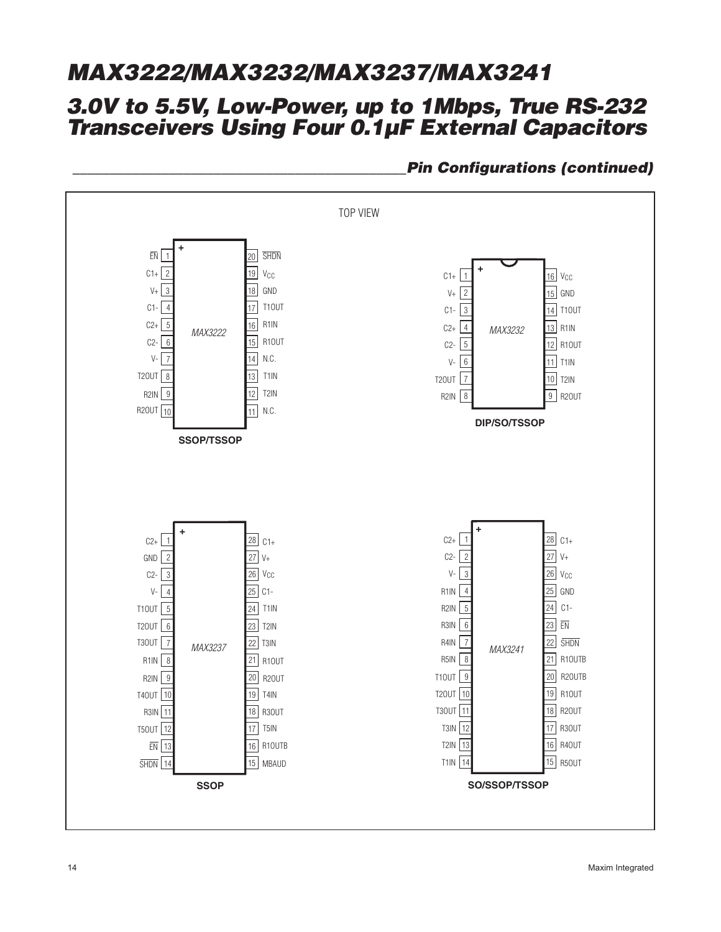## **3.0V to 5.5V, Low-Power, up to 1Mbps, True RS-232 Transceivers Using Four 0.1µF External Capacitors**



### **\_\_\_\_\_\_\_\_\_\_\_\_\_\_\_\_\_\_\_\_\_\_\_\_\_\_\_\_\_\_\_\_\_\_\_\_\_\_\_\_\_\_\_\_\_Pin Configurations (continued)**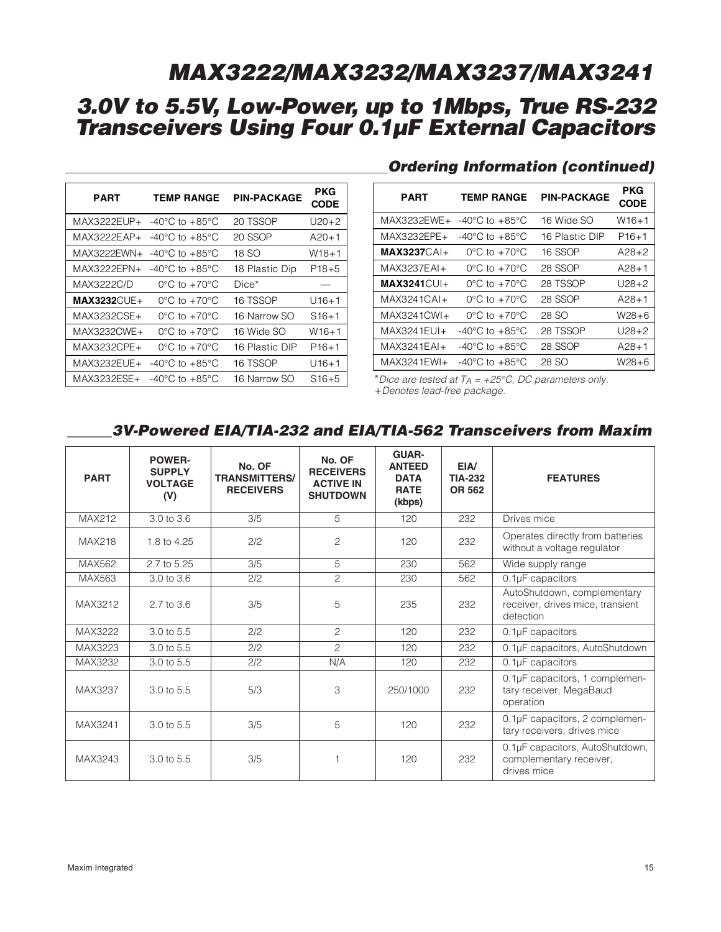| <b>PART</b>   | <b>TEMP RANGE</b>                  | <b>PIN-PACKAGE</b> | <b>PKG</b><br><b>CODE</b> |
|---------------|------------------------------------|--------------------|---------------------------|
| MAX3222EUP+   | $-40^{\circ}$ C to $+85^{\circ}$ C | 20 TSSOP           | $U20+2$                   |
| MAX3222EAP+   | $-40^{\circ}$ C to $+85^{\circ}$ C | 20 SSOP            | $A20+1$                   |
| MAX3222EWN+   | $-40^{\circ}$ C to $+85^{\circ}$ C | 18 SO              | W18+1                     |
| MAX3222EPN+   | $-40^{\circ}$ C to $+85^{\circ}$ C | 18 Plastic Dip     | P <sub>18+5</sub>         |
| MAX3222C/D    | $0^{\circ}$ C to $+70^{\circ}$ C   | Dice*              |                           |
| $MAX3232CUE+$ | $0^{\circ}$ C to +70 $^{\circ}$ C  | 16 TSSOP           | $U16+1$                   |
| MAX3232CSE+   | $0^{\circ}$ C to $+70^{\circ}$ C   | 16 Narrow SO       | $S16+1$                   |
| MAX3232CWE+   | $0^{\circ}$ C to $+70^{\circ}$ C   | 16 Wide SO         | $W16+1$                   |
| MAX3232CPE+   | $0^{\circ}$ C to +70 $^{\circ}$ C  | 16 Plastic DIP     | $P16+1$                   |
| MAX3232EUE+   | $-40^{\circ}$ C to $+85^{\circ}$ C | 16 TSSOP           | $U16+1$                   |
| MAX3232ESE+   | $-40^{\circ}$ C to $+85^{\circ}$ C | 16 Narrow SO       | $S16+5$                   |

### **Ordering Information (continued)**

| PART             | <b>TEMP RANGE</b>                    | <b>PIN-PACKAGE</b> | <b>PKG</b><br><b>CODE</b> |
|------------------|--------------------------------------|--------------------|---------------------------|
| $MAX3232FWF+$    | -40 $^{\circ}$ C to +85 $^{\circ}$ C | 16 Wide SO         | W16+1                     |
| MAX3232EPE+      | $-40^{\circ}$ C to $+85^{\circ}$ C   | 16 Plastic DIP     | P <sub>16+1</sub>         |
| $MAX3237CAI +$   | $0^{\circ}$ C to $+70^{\circ}$ C     | 16 SSOP            | $A28+2$                   |
| MAX3237EAI+      | $0^{\circ}$ C to $+70^{\circ}$ C     | 28 SSOP            | $A28+1$                   |
| $MAX3241$ $CU1+$ | $0^{\circ}$ C to $+70^{\circ}$ C     | 28 TSSOP           | U28+2                     |
| $MAX32410Al+$    | $0^{\circ}$ C to $+70^{\circ}$ C     | 28 SSOP            | $A28+1$                   |
| $MAX3241CWI +$   | $0^{\circ}$ C to $+70^{\circ}$ C     | 28 SO              | W28+6                     |
| $MAX3241EUI+$    | -40°C to +85°C                       | 28 TSSOP           | $1/28+2$                  |
| $MAX3241EAl+$    | $-40^{\circ}$ C to $+85^{\circ}$ C   | 28 SSOP            | $A28+1$                   |
| MAX3241EWI+      | -40°C to $+85^{\circ}$ C             | 28 SO              | W28+6                     |

\*Dice are tested at  $T_A = +25^{\circ}C$ , DC parameters only. +Denotes lead-free package.

### **\_\_\_\_\_\_3V-Powered EIA/TIA-232 and EIA/TIA-562 Transceivers from Maxim**

| <b>PART</b>   | <b>POWER-</b><br><b>SUPPLY</b><br><b>VOLTAGE</b><br>(V) | No. OF<br><b>TRANSMITTERS/</b><br><b>RECEIVERS</b> | No. OF<br><b>RECEIVERS</b><br><b>ACTIVE IN</b><br><b>SHUTDOWN</b> | <b>GUAR-</b><br><b>ANTEED</b><br><b>DATA</b><br><b>RATE</b><br>(kbps) | EIA/<br><b>TIA-232</b><br><b>OR 562</b> | <b>FEATURES</b>                                                              |
|---------------|---------------------------------------------------------|----------------------------------------------------|-------------------------------------------------------------------|-----------------------------------------------------------------------|-----------------------------------------|------------------------------------------------------------------------------|
| <b>MAX212</b> | 3.0 to 3.6                                              | 3/5                                                | 5                                                                 | 120                                                                   | 232                                     | Drives mice                                                                  |
| <b>MAX218</b> | 1.8 to 4.25                                             | 2/2                                                | $\overline{c}$                                                    | 120                                                                   | 232                                     | Operates directly from batteries<br>without a voltage regulator              |
| <b>MAX562</b> | 2.7 to 5.25                                             | 3/5                                                | 5                                                                 | 230                                                                   | 562                                     | Wide supply range                                                            |
| MAX563        | 3.0 to 3.6                                              | 2/2                                                | $\overline{2}$                                                    | 230                                                                   | 562                                     | 0.1µF capacitors                                                             |
| MAX3212       | 2.7 to 3.6                                              | 3/5                                                | 5                                                                 | 235                                                                   | 232                                     | AutoShutdown, complementary<br>receiver, drives mice, transient<br>detection |
| MAX3222       | 3.0 to 5.5                                              | 2/2                                                | 2                                                                 | 120                                                                   | 232                                     | 0.1µF capacitors                                                             |
| MAX3223       | 3.0 to 5.5                                              | 2/2                                                | $\mathcal{P}$                                                     | 120                                                                   | 232                                     | 0.1µF capacitors, AutoShutdown                                               |
| MAX3232       | 3.0 to 5.5                                              | 2/2                                                | N/A                                                               | 120                                                                   | 232                                     | $0.1\mu$ F capacitors                                                        |
| MAX3237       | 3.0 to 5.5                                              | 5/3                                                | 3                                                                 | 250/1000                                                              | 232                                     | 0.1µF capacitors, 1 complemen-<br>tary receiver, MegaBaud<br>operation       |
| MAX3241       | 3.0 to 5.5                                              | 3/5                                                | 5                                                                 | 120                                                                   | 232                                     | 0.1µF capacitors, 2 complemen-<br>tary receivers, drives mice                |
| MAX3243       | 3.0 to 5.5                                              | 3/5                                                | 1                                                                 | 120                                                                   | 232                                     | 0.1µF capacitors, AutoShutdown,<br>complementary receiver,<br>drives mice    |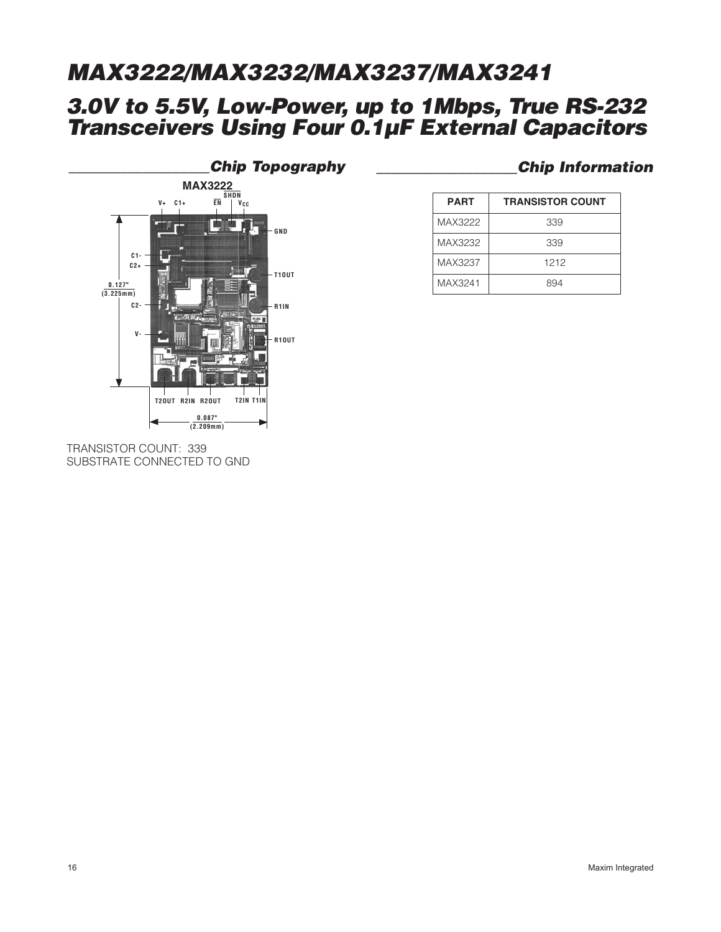## **3.0V to 5.5V, Low-Power, up to 1Mbps, True RS-232 Transceivers Using Four 0.1µF External Capacitors**



#### TRANSISTOR COUNT: 339 SUBSTRATE CONNECTED TO GND

### **\_\_\_\_\_\_\_\_\_\_\_\_\_\_\_\_\_\_\_Chip Topography \_\_\_\_\_\_\_\_\_\_\_\_\_\_\_\_\_\_\_Chip Information**

| <b>PART</b> | <b>TRANSISTOR COUNT</b> |
|-------------|-------------------------|
| MAX3222     | 339                     |
| MAX3232     | 339                     |
| MAX3237     | 1212                    |
| MAX3241     | 894                     |